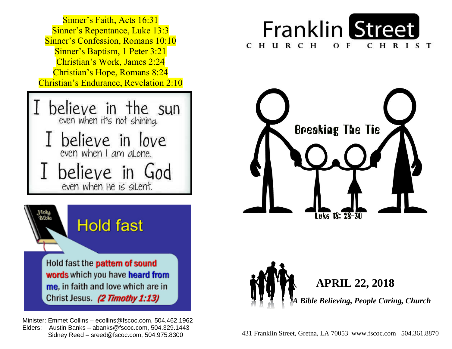

Christ Jesus. (2 Timothy 1:13)

 Minister: Emmet Collins – ecollins@fscoc.com, 504.462.1962  Elders: Austin Banks – abanks@fscoc.com, 504.329.1443  Sidney Reed – sreed@fscoc.com, 504.975.8300431 Franklin Street, Gretna, LA 70053 www.fscoc.com 504.361.8870